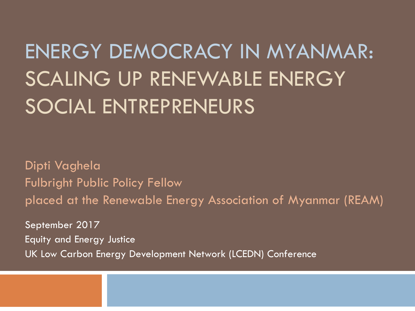## ENERGY DEMOCRACY IN MYANMAR: SCALING UP RENEWABLE ENERGY SOCIAL ENTREPRENEURS

Dipti Vaghela Fulbright Public Policy Fellow placed at the Renewable Energy Association of Myanmar (REAM) September 2017

Equity and Energy Justice UK Low Carbon Energy Development Network (LCEDN) Conference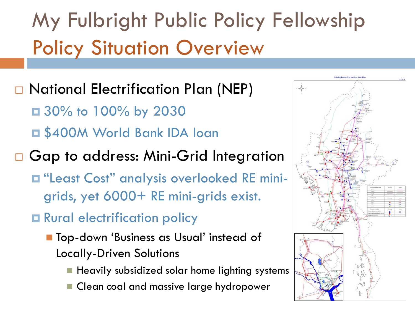## My Fulbright Public Policy Fellowship Policy Situation Overview

### □ National Electrification Plan (NEP)

■ 30% to 100% by 2030 \$400M World Bank IDA loan

#### □ Gap to address: Mini-Grid Integration

- "Least Cost" analysis overlooked RE minigrids, yet 6000+ RE mini-grids exist.
- **O** Rural electrification policy
	- Top-down 'Business as Usual' instead of Locally-Driven Solutions
		- $\blacksquare$  Heavily subsidized solar home lighting systems
		- Clean coal and massive large hydropower

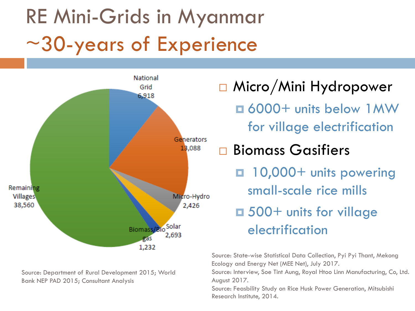## RE Mini-Grids in Myanmar ~30-years of Experience



Source: Department of Rural Development 2015; World Bank NEP PAD 2015; Consultant Analysis

□ Micro/Mini Hydropower 6000+ units below 1MW for village electrification **□ Biomass Gasifiers**  10,000+ units powering small-scale rice mills ■ 500+ units for village electrification

Source: State-wise Statistical Data Collection, Pyi Pyi Thant, Mekong Ecology and Energy Net (MEE Net), July 2017.

Source: Interview, Soe Tint Aung, Royal Htoo Linn Manufacturing, Co, Ltd. August 2017.

Source: Feasbility Study on Rice Husk Power Generation, Mitsubishi Research Institute, 2014.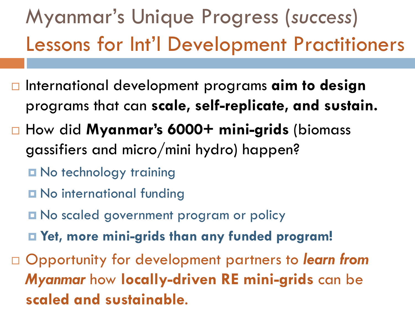## Myanmar's Unique Progress (*success*) Lessons for Int'l Development Practitioners

- **□** International development programs **aim to design** programs that can **scale, self-replicate, and sustain.**
- How did **Myanmar's 6000+ mini-grids** (biomass gassifiers and micro/mini hydro) happen?
	- **D** No technology training
	- **O** No international funding
	- **O** No scaled government program or policy
	- **Yet, more mini-grids than any funded program!**
- Opportunity for development partners to *learn from Myanmar* how **locally-driven RE mini-grids** can be **scaled and sustainable**.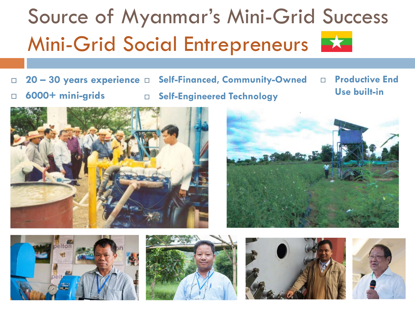## Source of Myanmar's Mini-Grid Success Mini-Grid Social Entrepreneurs

 **20 – 30 years experience Self-Financed, Community-Owned 6000+ mini-grids Self-Engineered Technology Productive End Use built-in**











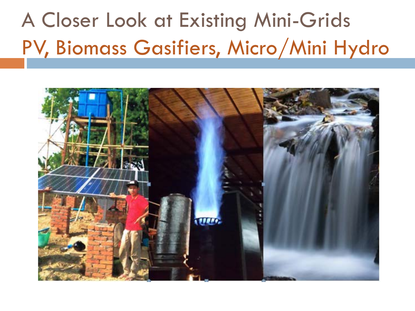## A Closer Look at Existing Mini-Grids PV, Biomass Gasifiers, Micro/Mini Hydro

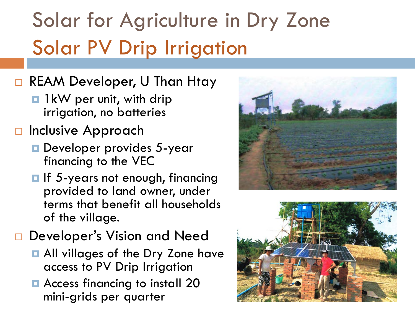## Solar for Agriculture in Dry Zone Solar PV Drip Irrigation

#### □ REAM Developer, U Than Htay

- **1** 1kW per unit, with drip irrigation, no batteries
- □ Inclusive Approach
	- **D** Developer provides 5-year financing to the VEC
	- $\blacksquare$  If 5-years not enough, financing provided to land owner, under terms that benefit all households of the village.

#### Developer's Vision and Need

- **All villages of the Dry Zone have** access to PV Drip Irrigation
- **Access financing to install 20** mini-grids per quarter



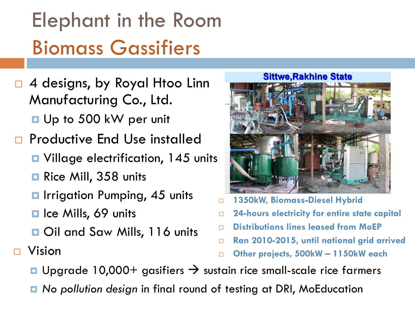## Elephant in the Room Biomass Gassifiers

- 4 designs, by Royal Htoo Linn Manufacturing Co., Ltd.
	- Up to 500 kW per unit
- Productive End Use installed
	- **□** Village electrification, 145 units
	- Rice Mill, 358 units
	- **E** Irrigation Pumping, 45 units
	- **□** Ice Mills, 69 units
	- Oil and Saw Mills, 116 units

#### **Sittwe.Rakhine State**



- **1350kW, Biomass-Diesel Hybrid**
- **24-hours electricity for entire state capital**
- **Distributions lines leased from MoEP**
- **Ran 2010-2015, until national grid arrived**
- Vision **Other projects, 500kW – 1150kW each**
- **u** Upgrade 10,000+ gasifiers  $\rightarrow$  sustain rice small-scale rice farmers
- *No pollution design* in final round of testing at DRI, MoEducation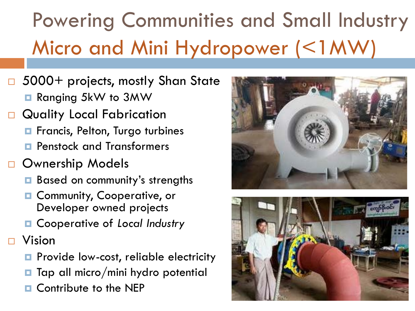## Powering Communities and Small Industry Micro and Mini Hydropower (<1MW)

- □ 5000+ projects, mostly Shan State
	- **Ranging 5kW to 3MW**
- Quality Local Fabrication
	- **E** Francis, Pelton, Turgo turbines
	- **Panstock and Transformers**
- **D** Ownership Models
	- Based on community's strengths
	- **Q** Community, Cooperative, or Developer owned projects
	- Cooperative of *Local Industry*
- Vision
	- **Provide low-cost, reliable electricity**
	- $\blacksquare$  Tap all micro/mini hydro potential
	- **D** Contribute to the NEP



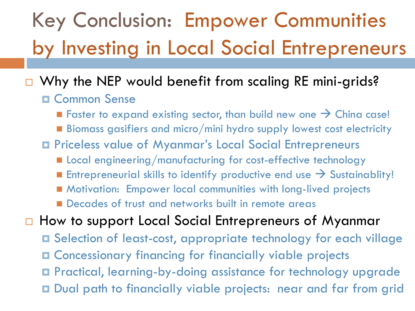## Key Conclusion: Empower Communities by Investing in Local Social Entrepreneurs

#### Why the NEP would benefit from scaling RE mini-grids?

- **D** Common Sense
	- Faster to expand existing sector, than build new one  $\rightarrow$  China case!
	- $\blacksquare$  Biomass gasifiers and micro/mini hydro supply lowest cost electricity
- Priceless value of Myanmar's Local Social Entrepreneurs
	- **E** Local engineering/manufacturing for cost-effective technology
	- **Entrepreneurial skills to identify productive end use**  $\rightarrow$  **Sustainablity!**
	- Motivation: Empower local communities with long-lived projects
	- **Decades of trust and networks built in remote areas**
- □ How to support Local Social Entrepreneurs of Myanmar
	- Selection of least-cost, appropriate technology for each village
	- Concessionary financing for financially viable projects
	- Practical, learning-by-doing assistance for technology upgrade
	- Dual path to financially viable projects: near and far from grid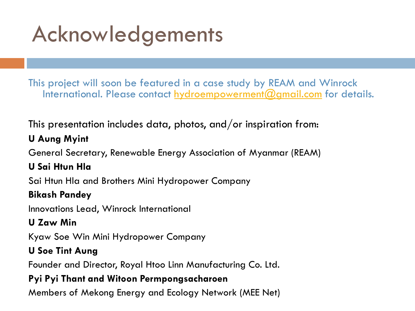## Acknowledgements

This project will soon be featured in a case study by REAM and Winrock International. Please contact [hydroempowerment@gmail.com](mailto:hydroempowerment@gmail.com) for details.

This presentation includes data, photos, and/or inspiration from:

#### **U Aung Myint**

General Secretary, Renewable Energy Association of Myanmar (REAM)

#### **U Sai Htun Hla**

Sai Htun Hla and Brothers Mini Hydropower Company

#### **Bikash Pandey**

Innovations Lead, Winrock International

#### **U Zaw Min**

Kyaw Soe Win Mini Hydropower Company

#### **U Soe Tint Aung**

Founder and Director, Royal Htoo Linn Manufacturing Co. Ltd.

#### **Pyi Pyi Thant and Witoon Permpongsacharoen**

Members of Mekong Energy and Ecology Network (MEE Net)